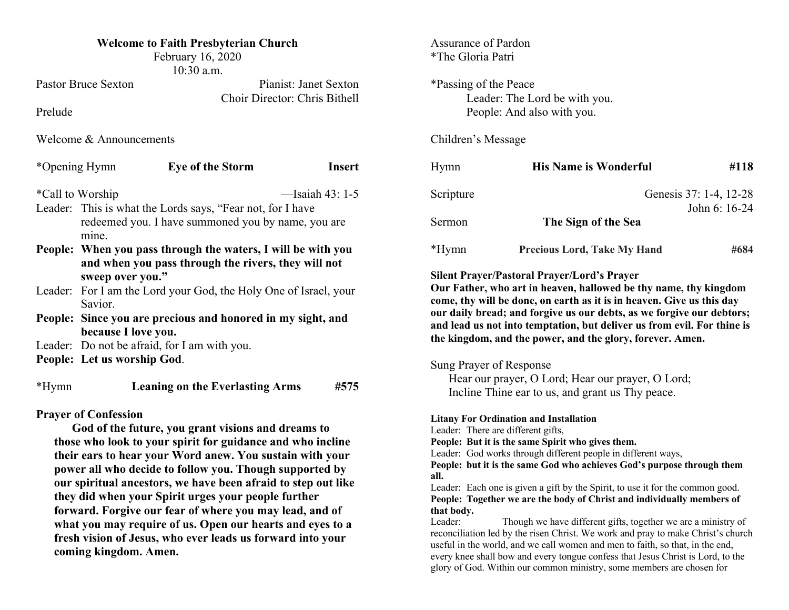| <b>Welcome to Faith Presbyterian Church</b><br>February 16, 2020<br>10:30 a.m.                                             |                                                               |      | <b>Assurance of Pardon</b><br>*The Gloria Patri                                                                                                          |                                                                       |      |                                                            |                         |               |           |                              |               |
|----------------------------------------------------------------------------------------------------------------------------|---------------------------------------------------------------|------|----------------------------------------------------------------------------------------------------------------------------------------------------------|-----------------------------------------------------------------------|------|------------------------------------------------------------|-------------------------|---------------|-----------|------------------------------|---------------|
| <b>Pastor Bruce Sexton</b><br>Pianist: Janet Sexton<br>Choir Director: Chris Bithell<br>Prelude<br>Welcome & Announcements |                                                               |      | *Passing of the Peace<br>Leader: The Lord be with you.<br>People: And also with you.<br>Children's Message                                               |                                                                       |      |                                                            |                         |               |           |                              |               |
|                                                                                                                            |                                                               |      |                                                                                                                                                          |                                                                       |      | *Opening Hymn                                              | <b>Eye of the Storm</b> | <b>Insert</b> | Hymn      | <b>His Name is Wonderful</b> | #118          |
|                                                                                                                            |                                                               |      |                                                                                                                                                          |                                                                       |      | *Call to Worship<br>$-$ Isaiah 43: 1-5                     |                         |               | Scripture | Genesis 37: 1-4, 12-28       |               |
|                                                                                                                            |                                                               |      |                                                                                                                                                          |                                                                       |      | Leader: This is what the Lords says, "Fear not, for I have |                         |               |           |                              | John 6: 16-24 |
| mine.                                                                                                                      | redeemed you. I have summoned you by name, you are            |      | Sermon                                                                                                                                                   | The Sign of the Sea                                                   |      |                                                            |                         |               |           |                              |               |
| People: When you pass through the waters, I will be with you                                                               |                                                               |      | $*Hymn$                                                                                                                                                  | <b>Precious Lord, Take My Hand</b>                                    | #684 |                                                            |                         |               |           |                              |               |
|                                                                                                                            | and when you pass through the rivers, they will not           |      |                                                                                                                                                          |                                                                       |      |                                                            |                         |               |           |                              |               |
| sweep over you."                                                                                                           |                                                               |      |                                                                                                                                                          | <b>Silent Prayer/Pastoral Prayer/Lord's Prayer</b>                    |      |                                                            |                         |               |           |                              |               |
| Leader: For I am the Lord your God, the Holy One of Israel, your                                                           |                                                               |      | Our Father, who art in heaven, hallowed be thy name, thy kingdom<br>come, thy will be done, on earth as it is in heaven. Give us this day                |                                                                       |      |                                                            |                         |               |           |                              |               |
| Savior.                                                                                                                    |                                                               |      |                                                                                                                                                          | our daily bread; and forgive us our debts, as we forgive our debtors; |      |                                                            |                         |               |           |                              |               |
| People: Since you are precious and honored in my sight, and                                                                |                                                               |      | and lead us not into temptation, but deliver us from evil. For thine is                                                                                  |                                                                       |      |                                                            |                         |               |           |                              |               |
| because I love you.<br>Leader: Do not be afraid, for I am with you.                                                        |                                                               |      |                                                                                                                                                          | the kingdom, and the power, and the glory, forever. Amen.             |      |                                                            |                         |               |           |                              |               |
|                                                                                                                            |                                                               |      |                                                                                                                                                          |                                                                       |      |                                                            |                         |               |           |                              |               |
| People: Let us worship God.                                                                                                |                                                               |      | Sung Prayer of Response                                                                                                                                  |                                                                       |      |                                                            |                         |               |           |                              |               |
|                                                                                                                            |                                                               |      | Hear our prayer, O Lord; Hear our prayer, O Lord;                                                                                                        |                                                                       |      |                                                            |                         |               |           |                              |               |
| $*Hymn$                                                                                                                    | <b>Leaning on the Everlasting Arms</b>                        | #575 | Incline Thine ear to us, and grant us Thy peace.                                                                                                         |                                                                       |      |                                                            |                         |               |           |                              |               |
| <b>Prayer of Confession</b>                                                                                                |                                                               |      |                                                                                                                                                          |                                                                       |      |                                                            |                         |               |           |                              |               |
| God of the future, you grant visions and dreams to                                                                         |                                                               |      | <b>Litany For Ordination and Installation</b><br>Leader: There are different gifts,                                                                      |                                                                       |      |                                                            |                         |               |           |                              |               |
|                                                                                                                            | those who look to your spirit for guidance and who incline    |      | People: But it is the same Spirit who gives them.                                                                                                        |                                                                       |      |                                                            |                         |               |           |                              |               |
|                                                                                                                            | their ears to hear your Word anew. You sustain with your      |      | Leader: God works through different people in different ways,                                                                                            |                                                                       |      |                                                            |                         |               |           |                              |               |
|                                                                                                                            | power all who decide to follow you. Though supported by       |      | People: but it is the same God who achieves God's purpose through them                                                                                   |                                                                       |      |                                                            |                         |               |           |                              |               |
|                                                                                                                            | our spiritual ancestors, we have been afraid to step out like |      | all.                                                                                                                                                     |                                                                       |      |                                                            |                         |               |           |                              |               |
| they did when your Spirit urges your people further                                                                        |                                                               |      | Leader: Each one is given a gift by the Spirit, to use it for the common good.<br>People: Together we are the body of Christ and individually members of |                                                                       |      |                                                            |                         |               |           |                              |               |

**forward. Forgive our fear of where you may lead, and of what you may require of us. Open our hearts and eyes to a fresh vision of Jesus, who ever leads us forward into your** 

**coming kingdom. Amen.**

one is given a gift by the Spirit, to use it for the common good. **People: Together we are the body of Christ and individually members of that body.** 

Leader: Though we have different gifts, together we are a ministry of reconciliation led by the risen Christ. We work and pray to make Christ's church useful in the world, and we call women and men to faith, so that, in the end, every knee shall bow and every tongue confess that Jesus Christ is Lord, to the glory of God. Within our common ministry, some members are chosen for